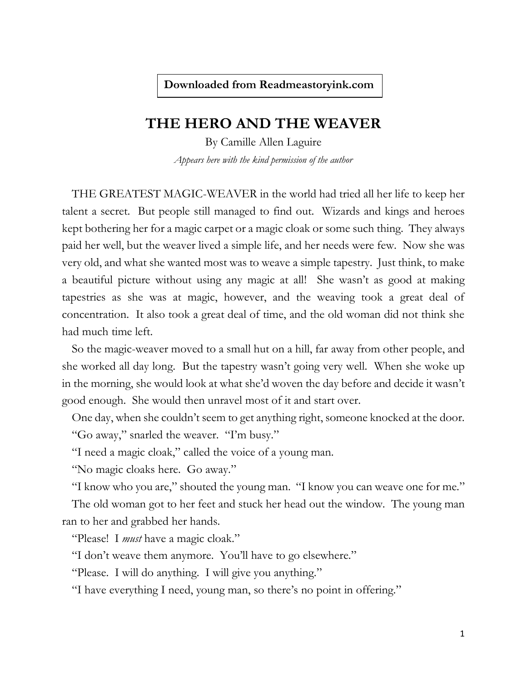## **THE HERO AND THE WEAVER**

By Camille Allen Laguire *Appears here with the kind permission of the author*

THE GREATEST MAGIC-WEAVER in the world had tried all her life to keep her talent a secret. But people still managed to find out. Wizards and kings and heroes kept bothering her for a magic carpet or a magic cloak or some such thing. They always paid her well, but the weaver lived a simple life, and her needs were few. Now she was very old, and what she wanted most was to weave a simple tapestry. Just think, to make a beautiful picture without using any magic at all! She wasn't as good at making tapestries as she was at magic, however, and the weaving took a great deal of concentration. It also took a great deal of time, and the old woman did not think she had much time left.

So the magic-weaver moved to a small hut on a hill, far away from other people, and she worked all day long. But the tapestry wasn't going very well. When she woke up in the morning, she would look at what she'd woven the day before and decide it wasn't good enough. She would then unravel most of it and start over.

One day, when she couldn't seem to get anything right, someone knocked at the door. "Go away," snarled the weaver. "I'm busy."

"I need a magic cloak," called the voice of a young man.

"No magic cloaks here. Go away."

"I know who you are," shouted the young man. "I know you can weave one for me."

The old woman got to her feet and stuck her head out the window. The young man ran to her and grabbed her hands.

"Please! I *must* have a magic cloak."

"I don't weave them anymore. You'll have to go elsewhere."

"Please. I will do anything. I will give you anything."

"I have everything I need, young man, so there's no point in offering."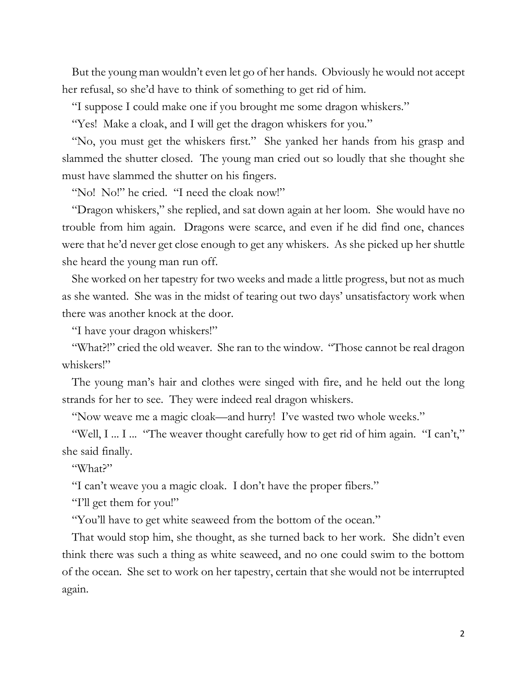But the young man wouldn't even let go of her hands. Obviously he would not accept her refusal, so she'd have to think of something to get rid of him.

"I suppose I could make one if you brought me some dragon whiskers."

"Yes! Make a cloak, and I will get the dragon whiskers for you."

"No, you must get the whiskers first." She yanked her hands from his grasp and slammed the shutter closed. The young man cried out so loudly that she thought she must have slammed the shutter on his fingers.

"No! No!" he cried. "I need the cloak now!"

"Dragon whiskers," she replied, and sat down again at her loom. She would have no trouble from him again. Dragons were scarce, and even if he did find one, chances were that he'd never get close enough to get any whiskers. As she picked up her shuttle she heard the young man run off.

She worked on her tapestry for two weeks and made a little progress, but not as much as she wanted. She was in the midst of tearing out two days' unsatisfactory work when there was another knock at the door.

"I have your dragon whiskers!"

"What?!" cried the old weaver. She ran to the window. "Those cannot be real dragon whiskers!"

The young man's hair and clothes were singed with fire, and he held out the long strands for her to see. They were indeed real dragon whiskers.

"Now weave me a magic cloak—and hurry! I've wasted two whole weeks."

"Well, I ... I ... "The weaver thought carefully how to get rid of him again. "I can't," she said finally.

"What?"

"I can't weave you a magic cloak. I don't have the proper fibers."

"I'll get them for you!"

"You'll have to get white seaweed from the bottom of the ocean."

That would stop him, she thought, as she turned back to her work. She didn't even think there was such a thing as white seaweed, and no one could swim to the bottom of the ocean. She set to work on her tapestry, certain that she would not be interrupted again.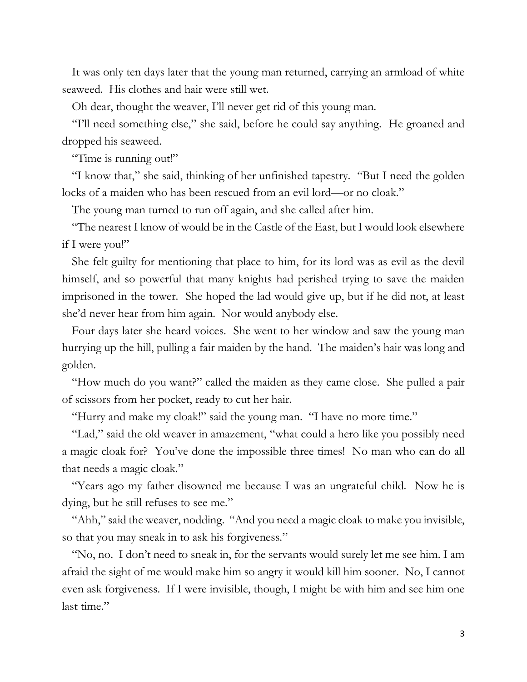It was only ten days later that the young man returned, carrying an armload of white seaweed. His clothes and hair were still wet.

Oh dear, thought the weaver, I'll never get rid of this young man.

''I'll need something else," she said, before he could say anything. He groaned and dropped his seaweed.

"Time is running out!"

"I know that," she said, thinking of her unfinished tapestry. "But I need the golden locks of a maiden who has been rescued from an evil lord—or no cloak."

The young man turned to run off again, and she called after him.

"The nearest I know of would be in the Castle of the East, but I would look elsewhere if I were you!"

She felt guilty for mentioning that place to him, for its lord was as evil as the devil himself, and so powerful that many knights had perished trying to save the maiden imprisoned in the tower. She hoped the lad would give up, but if he did not, at least she'd never hear from him again. Nor would anybody else.

Four days later she heard voices. She went to her window and saw the young man hurrying up the hill, pulling a fair maiden by the hand. The maiden's hair was long and golden.

"How much do you want?" called the maiden as they came close. She pulled a pair of scissors from her pocket, ready to cut her hair.

"Hurry and make my cloak!" said the young man. "I have no more time."

"Lad," said the old weaver in amazement, "what could a hero like you possibly need a magic cloak for? You've done the impossible three times! No man who can do all that needs a magic cloak."

"Years ago my father disowned me because I was an ungrateful child. Now he is dying, but he still refuses to see me."

"Ahh," said the weaver, nodding. "And you need a magic cloak to make you invisible, so that you may sneak in to ask his forgiveness."

"No, no. I don't need to sneak in, for the servants would surely let me see him. I am afraid the sight of me would make him so angry it would kill him sooner. No, I cannot even ask forgiveness. If I were invisible, though, I might be with him and see him one last time."